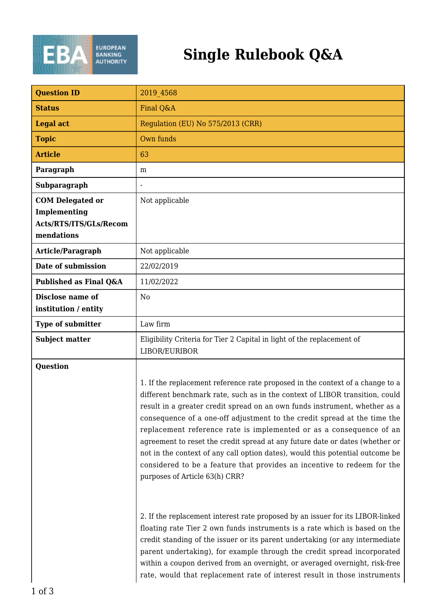

| <b>Question ID</b>                                                              | 2019 4568                                                                                                                                                                                                                                                                                                                                                                                                                                                                                                                                                                                                                                                                                                                                                                                                                                                                                                                                                                                                                                                                                                                                                          |
|---------------------------------------------------------------------------------|--------------------------------------------------------------------------------------------------------------------------------------------------------------------------------------------------------------------------------------------------------------------------------------------------------------------------------------------------------------------------------------------------------------------------------------------------------------------------------------------------------------------------------------------------------------------------------------------------------------------------------------------------------------------------------------------------------------------------------------------------------------------------------------------------------------------------------------------------------------------------------------------------------------------------------------------------------------------------------------------------------------------------------------------------------------------------------------------------------------------------------------------------------------------|
| <b>Status</b>                                                                   | Final Q&A                                                                                                                                                                                                                                                                                                                                                                                                                                                                                                                                                                                                                                                                                                                                                                                                                                                                                                                                                                                                                                                                                                                                                          |
| <b>Legal act</b>                                                                | Regulation (EU) No 575/2013 (CRR)                                                                                                                                                                                                                                                                                                                                                                                                                                                                                                                                                                                                                                                                                                                                                                                                                                                                                                                                                                                                                                                                                                                                  |
| <b>Topic</b>                                                                    | Own funds                                                                                                                                                                                                                                                                                                                                                                                                                                                                                                                                                                                                                                                                                                                                                                                                                                                                                                                                                                                                                                                                                                                                                          |
| <b>Article</b>                                                                  | 63                                                                                                                                                                                                                                                                                                                                                                                                                                                                                                                                                                                                                                                                                                                                                                                                                                                                                                                                                                                                                                                                                                                                                                 |
| Paragraph                                                                       | m                                                                                                                                                                                                                                                                                                                                                                                                                                                                                                                                                                                                                                                                                                                                                                                                                                                                                                                                                                                                                                                                                                                                                                  |
| Subparagraph                                                                    |                                                                                                                                                                                                                                                                                                                                                                                                                                                                                                                                                                                                                                                                                                                                                                                                                                                                                                                                                                                                                                                                                                                                                                    |
| <b>COM Delegated or</b><br>Implementing<br>Acts/RTS/ITS/GLs/Recom<br>mendations | Not applicable                                                                                                                                                                                                                                                                                                                                                                                                                                                                                                                                                                                                                                                                                                                                                                                                                                                                                                                                                                                                                                                                                                                                                     |
| Article/Paragraph                                                               | Not applicable                                                                                                                                                                                                                                                                                                                                                                                                                                                                                                                                                                                                                                                                                                                                                                                                                                                                                                                                                                                                                                                                                                                                                     |
| Date of submission                                                              | 22/02/2019                                                                                                                                                                                                                                                                                                                                                                                                                                                                                                                                                                                                                                                                                                                                                                                                                                                                                                                                                                                                                                                                                                                                                         |
| Published as Final Q&A                                                          | 11/02/2022                                                                                                                                                                                                                                                                                                                                                                                                                                                                                                                                                                                                                                                                                                                                                                                                                                                                                                                                                                                                                                                                                                                                                         |
| Disclose name of<br>institution / entity                                        | N <sub>0</sub>                                                                                                                                                                                                                                                                                                                                                                                                                                                                                                                                                                                                                                                                                                                                                                                                                                                                                                                                                                                                                                                                                                                                                     |
| <b>Type of submitter</b>                                                        | Law firm                                                                                                                                                                                                                                                                                                                                                                                                                                                                                                                                                                                                                                                                                                                                                                                                                                                                                                                                                                                                                                                                                                                                                           |
| <b>Subject matter</b>                                                           | Eligibility Criteria for Tier 2 Capital in light of the replacement of<br>LIBOR/EURIBOR                                                                                                                                                                                                                                                                                                                                                                                                                                                                                                                                                                                                                                                                                                                                                                                                                                                                                                                                                                                                                                                                            |
| <b>Question</b>                                                                 | 1. If the replacement reference rate proposed in the context of a change to a<br>different benchmark rate, such as in the context of LIBOR transition, could<br>result in a greater credit spread on an own funds instrument, whether as a<br>consequence of a one-off adjustment to the credit spread at the time the<br>replacement reference rate is implemented or as a consequence of an<br>agreement to reset the credit spread at any future date or dates (whether or<br>not in the context of any call option dates), would this potential outcome be<br>considered to be a feature that provides an incentive to redeem for the<br>purposes of Article 63(h) CRR?<br>2. If the replacement interest rate proposed by an issuer for its LIBOR-linked<br>floating rate Tier 2 own funds instruments is a rate which is based on the<br>credit standing of the issuer or its parent undertaking (or any intermediate<br>parent undertaking), for example through the credit spread incorporated<br>within a coupon derived from an overnight, or averaged overnight, risk-free<br>rate, would that replacement rate of interest result in those instruments |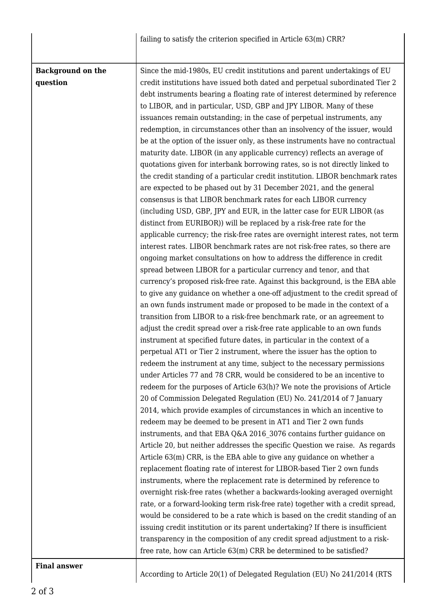|                                      | failing to satisfy the criterion specified in Article 63(m) CRR?                                                                                                                                                                                                                                                                                                                                                                                                                                                                                                                                                                                                                                                                                                                                                                                                                                                                                                                                                                                                                                                                                                                                                                                                                                                                                                                                                                                                                                                                                                                                                                                                                                                                                                                                                                                                                                                                                                             |
|--------------------------------------|------------------------------------------------------------------------------------------------------------------------------------------------------------------------------------------------------------------------------------------------------------------------------------------------------------------------------------------------------------------------------------------------------------------------------------------------------------------------------------------------------------------------------------------------------------------------------------------------------------------------------------------------------------------------------------------------------------------------------------------------------------------------------------------------------------------------------------------------------------------------------------------------------------------------------------------------------------------------------------------------------------------------------------------------------------------------------------------------------------------------------------------------------------------------------------------------------------------------------------------------------------------------------------------------------------------------------------------------------------------------------------------------------------------------------------------------------------------------------------------------------------------------------------------------------------------------------------------------------------------------------------------------------------------------------------------------------------------------------------------------------------------------------------------------------------------------------------------------------------------------------------------------------------------------------------------------------------------------------|
|                                      |                                                                                                                                                                                                                                                                                                                                                                                                                                                                                                                                                                                                                                                                                                                                                                                                                                                                                                                                                                                                                                                                                                                                                                                                                                                                                                                                                                                                                                                                                                                                                                                                                                                                                                                                                                                                                                                                                                                                                                              |
| <b>Background on the</b><br>question | Since the mid-1980s, EU credit institutions and parent undertakings of EU<br>credit institutions have issued both dated and perpetual subordinated Tier 2<br>debt instruments bearing a floating rate of interest determined by reference<br>to LIBOR, and in particular, USD, GBP and JPY LIBOR. Many of these<br>issuances remain outstanding; in the case of perpetual instruments, any<br>redemption, in circumstances other than an insolvency of the issuer, would<br>be at the option of the issuer only, as these instruments have no contractual<br>maturity date. LIBOR (in any applicable currency) reflects an average of<br>quotations given for interbank borrowing rates, so is not directly linked to<br>the credit standing of a particular credit institution. LIBOR benchmark rates<br>are expected to be phased out by 31 December 2021, and the general<br>consensus is that LIBOR benchmark rates for each LIBOR currency<br>(including USD, GBP, JPY and EUR, in the latter case for EUR LIBOR (as<br>distinct from EURIBOR)) will be replaced by a risk-free rate for the<br>applicable currency; the risk-free rates are overnight interest rates, not term<br>interest rates. LIBOR benchmark rates are not risk-free rates, so there are<br>ongoing market consultations on how to address the difference in credit<br>spread between LIBOR for a particular currency and tenor, and that<br>currency's proposed risk-free rate. Against this background, is the EBA able<br>to give any guidance on whether a one-off adjustment to the credit spread of<br>an own funds instrument made or proposed to be made in the context of a<br>transition from LIBOR to a risk-free benchmark rate, or an agreement to<br>adjust the credit spread over a risk-free rate applicable to an own funds<br>instrument at specified future dates, in particular in the context of a<br>perpetual AT1 or Tier 2 instrument, where the issuer has the option to |
|                                      | redeem the instrument at any time, subject to the necessary permissions<br>under Articles 77 and 78 CRR, would be considered to be an incentive to<br>redeem for the purposes of Article 63(h)? We note the provisions of Article<br>20 of Commission Delegated Regulation (EU) No. 241/2014 of 7 January<br>2014, which provide examples of circumstances in which an incentive to<br>redeem may be deemed to be present in AT1 and Tier 2 own funds                                                                                                                                                                                                                                                                                                                                                                                                                                                                                                                                                                                                                                                                                                                                                                                                                                                                                                                                                                                                                                                                                                                                                                                                                                                                                                                                                                                                                                                                                                                        |
|                                      | instruments, and that EBA Q&A 2016 3076 contains further guidance on<br>Article 20, but neither addresses the specific Question we raise. As regards<br>Article 63(m) CRR, is the EBA able to give any guidance on whether a<br>replacement floating rate of interest for LIBOR-based Tier 2 own funds<br>instruments, where the replacement rate is determined by reference to                                                                                                                                                                                                                                                                                                                                                                                                                                                                                                                                                                                                                                                                                                                                                                                                                                                                                                                                                                                                                                                                                                                                                                                                                                                                                                                                                                                                                                                                                                                                                                                              |
|                                      | overnight risk-free rates (whether a backwards-looking averaged overnight<br>rate, or a forward-looking term risk-free rate) together with a credit spread,<br>would be considered to be a rate which is based on the credit standing of an<br>issuing credit institution or its parent undertaking? If there is insufficient<br>transparency in the composition of any credit spread adjustment to a risk-<br>free rate, how can Article 63(m) CRR be determined to be satisfied?                                                                                                                                                                                                                                                                                                                                                                                                                                                                                                                                                                                                                                                                                                                                                                                                                                                                                                                                                                                                                                                                                                                                                                                                                                                                                                                                                                                                                                                                                           |
| <b>Final answer</b>                  |                                                                                                                                                                                                                                                                                                                                                                                                                                                                                                                                                                                                                                                                                                                                                                                                                                                                                                                                                                                                                                                                                                                                                                                                                                                                                                                                                                                                                                                                                                                                                                                                                                                                                                                                                                                                                                                                                                                                                                              |

According to Article 20(1) of Delegated Regulation (EU) No 241/2014 (RTS